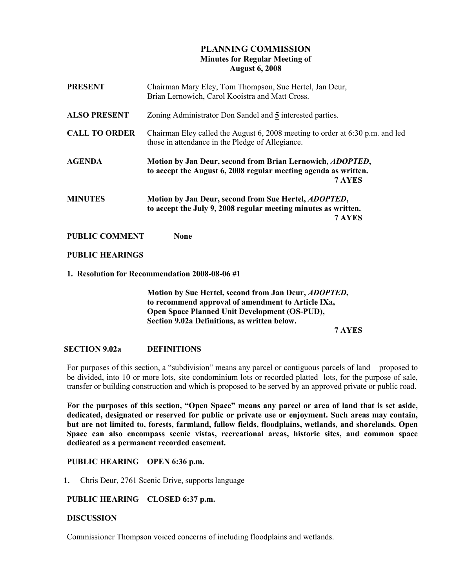# PLANNING COMMISSION Minutes for Regular Meeting of August 6, 2008

| <b>PRESENT</b>                                 | Chairman Mary Eley, Tom Thompson, Sue Hertel, Jan Deur,<br>Brian Lernowich, Carol Kooistra and Matt Cross.                                                                 |
|------------------------------------------------|----------------------------------------------------------------------------------------------------------------------------------------------------------------------------|
| <b>ALSO PRESENT</b>                            | Zoning Administrator Don Sandel and 5 interested parties.                                                                                                                  |
| <b>CALL TO ORDER</b>                           | Chairman Eley called the August 6, 2008 meeting to order at 6:30 p.m. and led<br>those in attendance in the Pledge of Allegiance.                                          |
| <b>AGENDA</b>                                  | Motion by Jan Deur, second from Brian Lernowich, ADOPTED,<br>to accept the August 6, 2008 regular meeting agenda as written.<br>7 AYES                                     |
| <b>MINUTES</b>                                 | Motion by Jan Deur, second from Sue Hertel, ADOPTED,<br>to accept the July 9, 2008 regular meeting minutes as written.<br>7 AYES                                           |
| <b>PUBLIC COMMENT</b>                          | <b>None</b>                                                                                                                                                                |
| <b>PUBLIC HEARINGS</b>                         |                                                                                                                                                                            |
| 1. Resolution for Recommendation 2008-08-06 #1 |                                                                                                                                                                            |
|                                                | Motion by Sue Hertel, second from Jan Deur, <i>ADOPTED</i> ,<br>to recommend approval of amendment to Article IXa,<br><b>Open Space Planned Unit Development (OS-PUD),</b> |

Section 9.02a Definitions, as written below.

7 AYES

# SECTION 9.02a DEFINITIONS

For purposes of this section, a "subdivision" means any parcel or contiguous parcels of land proposed to be divided, into 10 or more lots, site condominium lots or recorded platted lots, for the purpose of sale, transfer or building construction and which is proposed to be served by an approved private or public road.

For the purposes of this section, "Open Space" means any parcel or area of land that is set aside, dedicated, designated or reserved for public or private use or enjoyment. Such areas may contain, but are not limited to, forests, farmland, fallow fields, floodplains, wetlands, and shorelands. Open Space can also encompass scenic vistas, recreational areas, historic sites, and common space dedicated as a permanent recorded easement.

### PUBLIC HEARING OPEN 6:36 p.m.

1. Chris Deur, 2761 Scenic Drive, supports language

### PUBLIC HEARING CLOSED 6:37 p.m.

#### **DISCUSSION**

Commissioner Thompson voiced concerns of including floodplains and wetlands.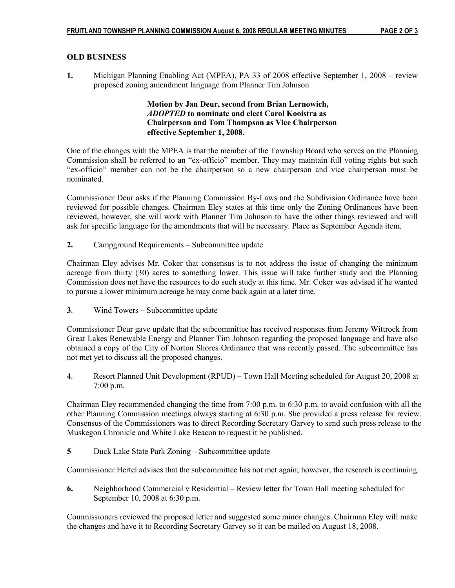# OLD BUSINESS

1. Michigan Planning Enabling Act (MPEA), PA 33 of 2008 effective September 1, 2008 – review proposed zoning amendment language from Planner Tim Johnson

### Motion by Jan Deur, second from Brian Lernowich, ADOPTED to nominate and elect Carol Kooistra as Chairperson and Tom Thompson as Vice Chairperson effective September 1, 2008.

One of the changes with the MPEA is that the member of the Township Board who serves on the Planning Commission shall be referred to an "ex-officio" member. They may maintain full voting rights but such "ex-officio" member can not be the chairperson so a new chairperson and vice chairperson must be nominated.

Commissioner Deur asks if the Planning Commission By-Laws and the Subdivision Ordinance have been reviewed for possible changes. Chairman Eley states at this time only the Zoning Ordinances have been reviewed, however, she will work with Planner Tim Johnson to have the other things reviewed and will ask for specific language for the amendments that will be necessary. Place as September Agenda item.

2. Campground Requirements – Subcommittee update

Chairman Eley advises Mr. Coker that consensus is to not address the issue of changing the minimum acreage from thirty (30) acres to something lower. This issue will take further study and the Planning Commission does not have the resources to do such study at this time. Mr. Coker was advised if he wanted to pursue a lower minimum acreage he may come back again at a later time.

3. Wind Towers – Subcommittee update

Commissioner Deur gave update that the subcommittee has received responses from Jeremy Wittrock from Great Lakes Renewable Energy and Planner Tim Johnson regarding the proposed language and have also obtained a copy of the City of Norton Shores Ordinance that was recently passed. The subcommittee has not met yet to discuss all the proposed changes.

4. Resort Planned Unit Development (RPUD) – Town Hall Meeting scheduled for August 20, 2008 at 7:00 p.m.

Chairman Eley recommended changing the time from 7:00 p.m. to 6:30 p.m. to avoid confusion with all the other Planning Commission meetings always starting at 6:30 p.m. She provided a press release for review. Consensus of the Commissioners was to direct Recording Secretary Garvey to send such press release to the Muskegon Chronicle and White Lake Beacon to request it be published.

5 Duck Lake State Park Zoning – Subcommittee update

Commissioner Hertel advises that the subcommittee has not met again; however, the research is continuing.

6. Neighborhood Commercial v Residential – Review letter for Town Hall meeting scheduled for September 10, 2008 at 6:30 p.m.

Commissioners reviewed the proposed letter and suggested some minor changes. Chairman Eley will make the changes and have it to Recording Secretary Garvey so it can be mailed on August 18, 2008.